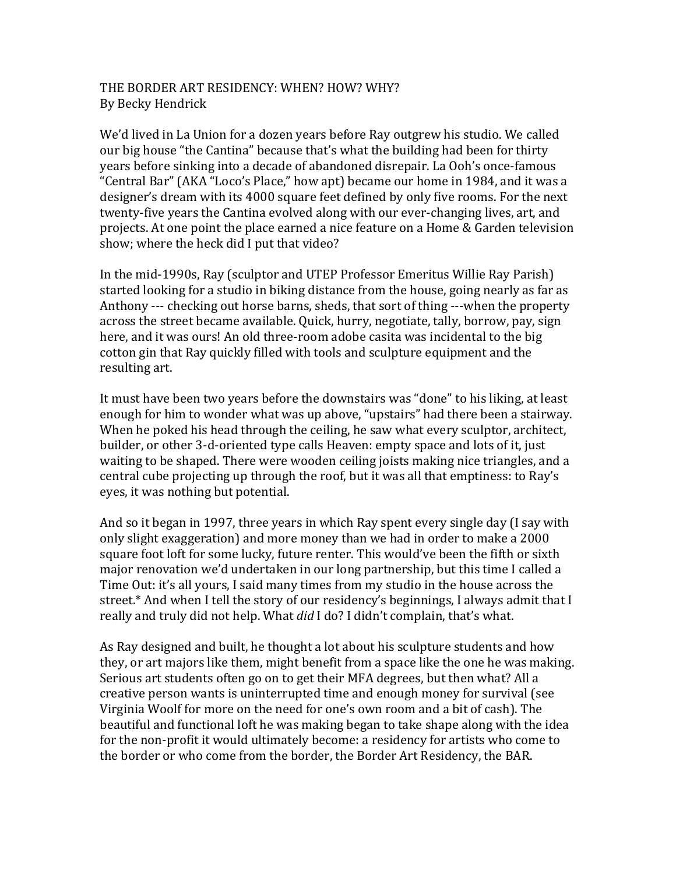## THE BORDER ART RESIDENCY: WHEN? HOW? WHY? By Becky Hendrick

We'd lived in La Union for a dozen years before Ray outgrew his studio. We called our big house "the Cantina" because that's what the building had been for thirty years before sinking into a decade of abandoned disrepair. La Ooh's once-famous "Central Bar" (AKA "Loco's Place," how apt) became our home in 1984, and it was a designer's dream with its 4000 square feet defined by only five rooms. For the next twenty-five years the Cantina evolved along with our ever-changing lives, art, and projects. At one point the place earned a nice feature on a Home & Garden television show; where the heck did I put that video?

In the mid-1990s, Ray (sculptor and UTEP Professor Emeritus Willie Ray Parish) started looking for a studio in biking distance from the house, going nearly as far as Anthony --- checking out horse barns, sheds, that sort of thing ---when the property across the street became available. Quick, hurry, negotiate, tally, borrow, pay, sign here, and it was ours! An old three-room adobe casita was incidental to the big cotton gin that Ray quickly filled with tools and sculpture equipment and the resulting art.

It must have been two years before the downstairs was "done" to his liking, at least enough for him to wonder what was up above, "upstairs" had there been a stairway. When he poked his head through the ceiling, he saw what every sculptor, architect, builder, or other 3-d-oriented type calls Heaven: empty space and lots of it, just waiting to be shaped. There were wooden ceiling joists making nice triangles, and a central cube projecting up through the roof, but it was all that emptiness: to Ray's eyes, it was nothing but potential.

And so it began in 1997, three years in which Ray spent every single day (I say with only slight exaggeration) and more money than we had in order to make a 2000 square foot loft for some lucky, future renter. This would've been the fifth or sixth major renovation we'd undertaken in our long partnership, but this time I called a Time Out: it's all yours, I said many times from my studio in the house across the street.\* And when I tell the story of our residency's beginnings, I always admit that I really and truly did not help. What *did* I do? I didn't complain, that's what.

As Ray designed and built, he thought a lot about his sculpture students and how they, or art majors like them, might benefit from a space like the one he was making. Serious art students often go on to get their MFA degrees, but then what? All a creative person wants is uninterrupted time and enough money for survival (see Virginia Woolf for more on the need for one's own room and a bit of cash). The beautiful and functional loft he was making began to take shape along with the idea for the non-profit it would ultimately become: a residency for artists who come to the border or who come from the border, the Border Art Residency, the BAR.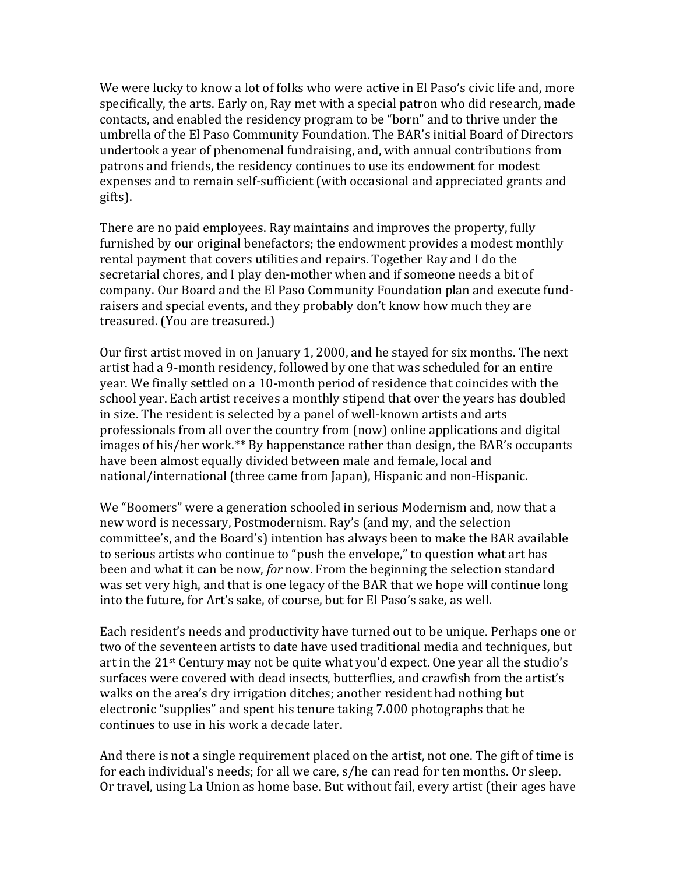We were lucky to know a lot of folks who were active in El Paso's civic life and, more specifically, the arts. Early on, Ray met with a special patron who did research, made contacts, and enabled the residency program to be "born" and to thrive under the umbrella of the El Paso Community Foundation. The BAR's initial Board of Directors undertook a year of phenomenal fundraising, and, with annual contributions from patrons and friends, the residency continues to use its endowment for modest expenses and to remain self-sufficient (with occasional and appreciated grants and gifts).

There are no paid employees. Ray maintains and improves the property, fully furnished by our original benefactors; the endowment provides a modest monthly rental payment that covers utilities and repairs. Together Ray and I do the secretarial chores, and I play den-mother when and if someone needs a bit of company. Our Board and the El Paso Community Foundation plan and execute fundraisers and special events, and they probably don't know how much they are treasured. (You are treasured.)

Our first artist moved in on January 1, 2000, and he stayed for six months. The next artist had a 9-month residency, followed by one that was scheduled for an entire year. We finally settled on a 10-month period of residence that coincides with the school year. Each artist receives a monthly stipend that over the years has doubled in size. The resident is selected by a panel of well-known artists and arts professionals from all over the country from (now) online applications and digital images of his/her work.\*\* By happenstance rather than design, the BAR's occupants have been almost equally divided between male and female, local and national/international (three came from Japan), Hispanic and non-Hispanic.

We "Boomers" were a generation schooled in serious Modernism and, now that a new word is necessary, Postmodernism. Ray's (and my, and the selection committee's, and the Board's) intention has always been to make the BAR available to serious artists who continue to "push the envelope," to question what art has been and what it can be now, for now. From the beginning the selection standard was set very high, and that is one legacy of the BAR that we hope will continue long into the future, for Art's sake, of course, but for El Paso's sake, as well.

Each resident's needs and productivity have turned out to be unique. Perhaps one or two of the seventeen artists to date have used traditional media and techniques, but art in the  $21^{st}$  Century may not be quite what you'd expect. One year all the studio's surfaces were covered with dead insects, butterflies, and crawfish from the artist's walks on the area's dry irrigation ditches; another resident had nothing but electronic "supplies" and spent his tenure taking 7.000 photographs that he continues to use in his work a decade later.

And there is not a single requirement placed on the artist, not one. The gift of time is for each individual's needs; for all we care, s/he can read for ten months. Or sleep. Or travel, using La Union as home base. But without fail, every artist (their ages have